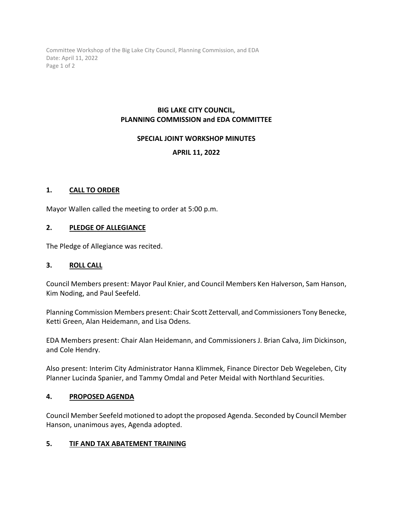Committee Workshop of the Big Lake City Council, Planning Commission, and EDA Date: April 11, 2022 Page 1 of 2

# **BIG LAKE CITY COUNCIL, PLANNING COMMISSION and EDA COMMITTEE**

### **SPECIAL JOINT WORKSHOP MINUTES**

# **APRIL 11, 2022**

### **1. CALL TO ORDER**

Mayor Wallen called the meeting to order at 5:00 p.m.

### **2. PLEDGE OF ALLEGIANCE**

The Pledge of Allegiance was recited.

#### **3. ROLL CALL**

Council Members present: Mayor Paul Knier, and Council Members Ken Halverson, Sam Hanson, Kim Noding, and Paul Seefeld.

Planning Commission Members present: Chair Scott Zettervall, and Commissioners Tony Benecke, Ketti Green, Alan Heidemann, and Lisa Odens.

EDA Members present: Chair Alan Heidemann, and Commissioners J. Brian Calva, Jim Dickinson, and Cole Hendry.

Also present: Interim City Administrator Hanna Klimmek, Finance Director Deb Wegeleben, City Planner Lucinda Spanier, and Tammy Omdal and Peter Meidal with Northland Securities.

#### **4. PROPOSED AGENDA**

Council Member Seefeld motioned to adopt the proposed Agenda. Seconded by Council Member Hanson, unanimous ayes, Agenda adopted.

#### **5. TIF AND TAX ABATEMENT TRAINING**